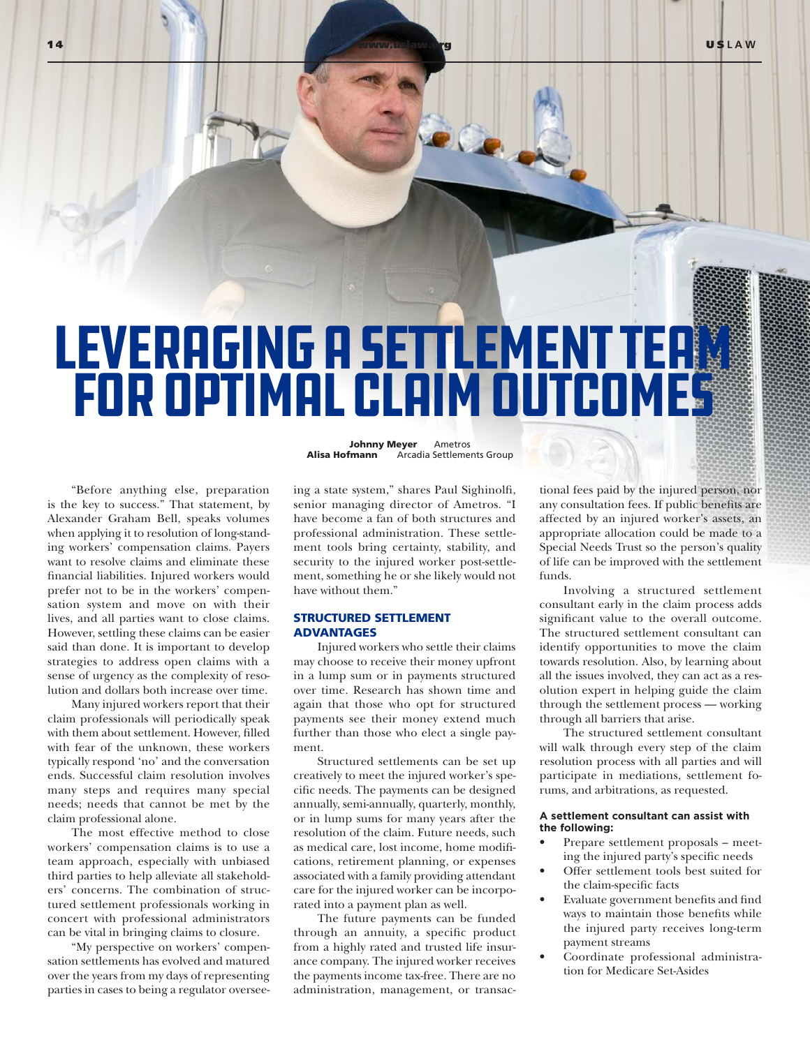14 **[www.uslaw.org](http://www.uslaw.org) USLAW** USLAW

# LEVERAGING A SETTLEMENT TEAM for Optimal Claim Outcomes

"Before anything else, preparation is the key to success." That statement, by Alexander Graham Bell, speaks volumes when applying it to resolution of long-standing workers' compensation claims. Payers want to resolve claims and eliminate these financial liabilities. Injured workers would prefer not to be in the workers' compensation system and move on with their lives, and all parties want to close claims. However, settling these claims can be easier said than done. It is important to develop strategies to address open claims with a sense of urgency as the complexity of resolution and dollars both increase over time.

Many injured workers report that their claim professionals will periodically speak with them about settlement. However, filled with fear of the unknown, these workers typically respond 'no' and the conversation ends. Successful claim resolution involves many steps and requires many special needs; needs that cannot be met by the claim professional alone.

The most effective method to close workers' compensation claims is to use a team approach, especially with unbiased third parties to help alleviate all stakeholders' concerns. The combination of structured settlement professionals working in concert with professional administrators can be vital in bringing claims to closure.

"My perspective on workers' compensation settlements has evolved and matured over the years from my days of representing parties in cases to being a regulator overseeJohnny Meyer Ametros<br>Alisa Hofmann Arcadia Settleme Arcadia Settlements Group

ing a state system," shares Paul Sighinolfi, senior managing director of Ametros. "I have become a fan of both structures and professional administration. These settlement tools bring certainty, stability, and security to the injured worker post-settlement, something he or she likely would not have without them."

## STRUCTURED SETTLEMENT ADVANTAGES

Injured workers who settle their claims may choose to receive their money upfront in a lump sum or in payments structured over time. Research has shown time and again that those who opt for structured payments see their money extend much further than those who elect a single payment.

Structured settlements can be set up creatively to meet the injured worker's specific needs. The payments can be designed annually, semi-annually, quarterly, monthly, or in lump sums for many years after the resolution of the claim. Future needs, such as medical care, lost income, home modifications, retirement planning, or expenses associated with a family providing attendant care for the injured worker can be incorporated into a payment plan as well.

The future payments can be funded through an annuity, a specific product from a highly rated and trusted life insurance company. The injured worker receives the payments income tax-free. There are no administration, management, or transactional fees paid by the injured person, nor any consultation fees. If public benefits are affected by an injured worker's assets, an appropriate allocation could be made to a Special Needs Trust so the person's quality of life can be improved with the settlement funds.

Involving a structured settlement consultant early in the claim process adds significant value to the overall outcome. The structured settlement consultant can identify opportunities to move the claim towards resolution. Also, by learning about all the issues involved, they can act as a resolution expert in helping guide the claim through the settlement process — working through all barriers that arise.

The structured settlement consultant will walk through every step of the claim resolution process with all parties and will participate in mediations, settlement forums, and arbitrations, as requested.

#### **A settlement consultant can assist with the following:**

- Prepare settlement proposals meeting the injured party's specific needs
- Offer settlement tools best suited for the claim-specific facts
- Evaluate government benefits and find ways to maintain those benefits while the injured party receives long-term payment streams
- Coordinate professional administration for Medicare Set-Asides